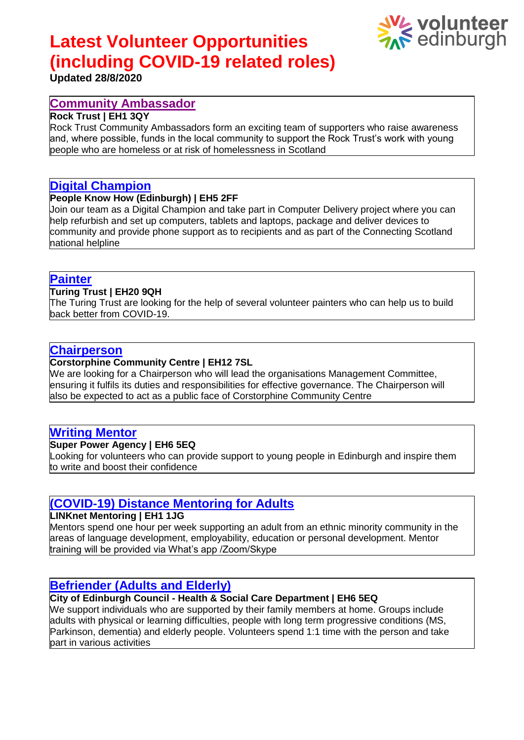# **Latest Volunteer Opportunities (including COVID-19 related roles)**



### **Updated 28/8/2020**

## **[Community Ambassador](https://www.volunteeredinburgh.org.uk/volunteer/find-opportunities/community-ambassador-15186/)**

#### **Rock Trust | EH1 3QY**

Rock Trust Community Ambassadors form an exciting team of supporters who raise awareness and, where possible, funds in the local community to support the Rock Trust's work with young people who are homeless or at risk of homelessness in Scotland

#### **[Digital Champion](https://www.volunteeredinburgh.org.uk/volunteer/find-opportunities/digital-champion-15187/)**

#### **People Know How (Edinburgh) | EH5 2FF**

Join our team as a Digital Champion and take part in Computer Delivery project where you can help refurbish and set up computers, tablets and laptops, package and deliver devices to community and provide phone support as to recipients and as part of the Connecting Scotland national helpline

#### **[Painter](https://www.volunteeredinburgh.org.uk/volunteer/find-opportunities/painter-15188/)**

#### **Turing Trust | EH20 9QH**

The Turing Trust are looking for the help of several volunteer painters who can help us to build back better from COVID-19.

#### **[Chairperson](https://www.volunteeredinburgh.org.uk/volunteer/find-opportunities/chairperson-15189/)**

#### **Corstorphine Community Centre | EH12 7SL**

We are looking for a Chairperson who will lead the organisations Management Committee, ensuring it fulfils its duties and responsibilities for effective governance. The Chairperson will also be expected to act as a public face of Corstorphine Community Centre

#### **[Writing Mentor](https://www.volunteeredinburgh.org.uk/volunteer/find-opportunities/writing-mentor-15183/)**

#### **Super Power Agency | EH6 5EQ**

Looking for volunteers who can provide support to young people in Edinburgh and inspire them to write and boost their confidence

## **[\(COVID-19\) Distance Mentoring for Adults](https://www.volunteeredinburgh.org.uk/volunteer/find-opportunities/VO15104-distance-mentoring/)**

#### **LINKnet Mentoring | EH1 1JG**

Mentors spend one hour per week supporting an adult from an ethnic minority community in the areas of language development, employability, education or personal development. Mentor training will be provided via What's app /Zoom/Skype

#### **[Befriender \(Adults and Elderly\)](https://www.volunteeredinburgh.org.uk/volunteer/find-opportunities/befrienders-for-adults-and-elderly-people-15116/)**

**City of Edinburgh Council - Health & Social Care Department | EH6 5EQ** We support individuals who are supported by their family members at home. Groups include adults with physical or learning difficulties, people with long term progressive conditions (MS, Parkinson, dementia) and elderly people. Volunteers spend 1:1 time with the person and take part in various activities